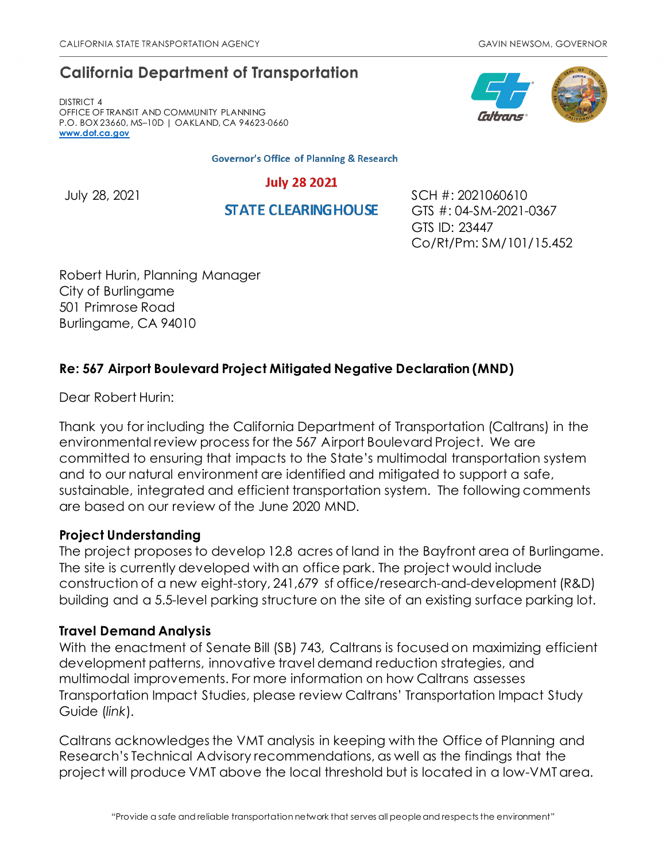# **California Department of Transportation**

DISTRICT 4 OFFICE OF TRANSIT AND COMMUNITY PLANNING P.O. BOX 23660, MS–10D | OAKLAND, CA 94623-0660 **[www.dot.ca.gov](http://www.dot.ca.gov/)**

**Governor's Office of Planning & Research** 

**July 28 2021** 

**STATE CLEARING HOUSE** 

July 28, 2021 SCH #: 2021060610 GTS #: 04-SM-2021-0367 GTS ID: 23447 Co/Rt/Pm: SM/101/15.452

Robert Hurin, Planning Manager City of Burlingame 501 Primrose Road Burlingame, CA 94010

# **Re: 567 Airport Boulevard Project Mitigated Negative Declaration (MND)**

Dear Robert Hurin:

Thank you for including the California Department of Transportation (Caltrans) in the environmental review process for the 567 Airport Boulevard Project. We are committed to ensuring that impacts to the State's multimodal transportation system and to our natural environment are identified and mitigated to support a safe, sustainable, integrated and efficient transportation system. The following comments are based on our review of the June 2020 MND.

# **Project Understanding**

The project proposes to develop 12.8 acres of land in the Bayfront area of Burlingame. The site is currently developed with an office park. The project would include construction of a new eight-story, 241,679 sf office/research-and-development (R&D) building and a 5.5-level parking structure on the site of an existing surface parking lot.

# **Travel Demand Analysis**

With the enactment of Senate Bill (SB) 743, Caltrans is focused on maximizing efficient development patterns, innovative travel demand reduction strategies, and multimodal improvements. For more information on how Caltrans assesses Transportation Impact Studies, please review Caltrans' [Transportation Impact Study](https://dot.ca.gov/-/media/dot-media/programs/transportation-planning/documents/sb-743/2020-05-20-approved-vmt-focused-tisg-a11y.pdf)  [Guide \(](https://dot.ca.gov/-/media/dot-media/programs/transportation-planning/documents/sb-743/2020-05-20-approved-vmt-focused-tisg-a11y.pdf)*link*).

Caltrans acknowledges the VMT analysis in keeping with the Office of Planning and Research's Technical Advisory recommendations, as well as the findings that the project will produce VMT above the local threshold but is located in a low-VMT area.

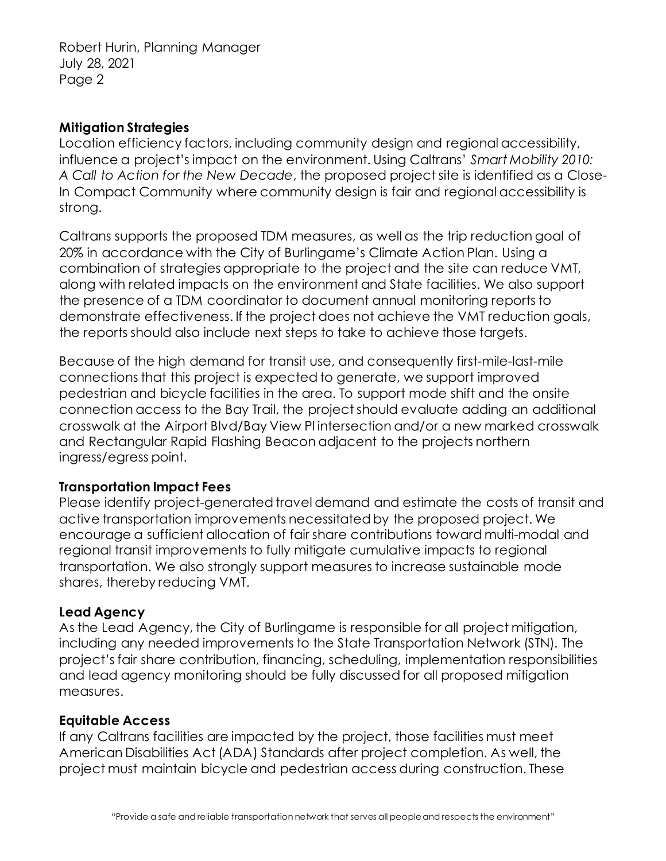Robert Hurin, Planning Manager July 28, 2021 Page 2

#### **Mitigation Strategies**

Location efficiency factors, including community design and regional accessibility, influence a project's impact on the environment. Using Caltrans' *Smart Mobility 2010: A Call to Action for the New Decade*, the proposed project site is identified as a Close-In Compact Community where community design is fair and regional accessibility is strong.

Caltrans supports the proposed TDM measures, as well as the trip reduction goal of 20% in accordance with the City of Burlingame's Climate Action Plan. Using a combination of strategies appropriate to the project and the site can reduce VMT, along with related impacts on the environment and State facilities. We also support the presence of a TDM coordinator to document annual monitoring reports to demonstrate effectiveness. If the project does not achieve the VMT reduction goals, the reports should also include next steps to take to achieve those targets.

Because of the high demand for transit use, and consequently first-mile-last-mile connections that this project is expected to generate, we support improved pedestrian and bicycle facilities in the area. To support mode shift and the onsite connection access to the Bay Trail, the project should evaluate adding an additional crosswalk at the Airport Blvd/Bay View Pl intersection and/or a new marked crosswalk and Rectangular Rapid Flashing Beacon adjacent to the projects northern ingress/egress point.

# **Transportation Impact Fees**

Please identify project-generated travel demand and estimate the costs of transit and active transportation improvements necessitated by the proposed project. We encourage a sufficient allocation of fair share contributions toward multi-modal and regional transit improvements to fully mitigate cumulative impacts to regional transportation. We also strongly support measures to increase sustainable mode shares, thereby reducing VMT.

#### **Lead Agency**

As the Lead Agency, the City of Burlingame is responsible for all project mitigation, including any needed improvements to the State Transportation Network (STN). The project's fair share contribution, financing, scheduling, implementation responsibilities and lead agency monitoring should be fully discussed for all proposed mitigation measures.

#### **Equitable Access**

If any Caltrans facilities are impacted by the project, those facilities must meet American Disabilities Act (ADA) Standards after project completion. As well, the project must maintain bicycle and pedestrian access during construction. These